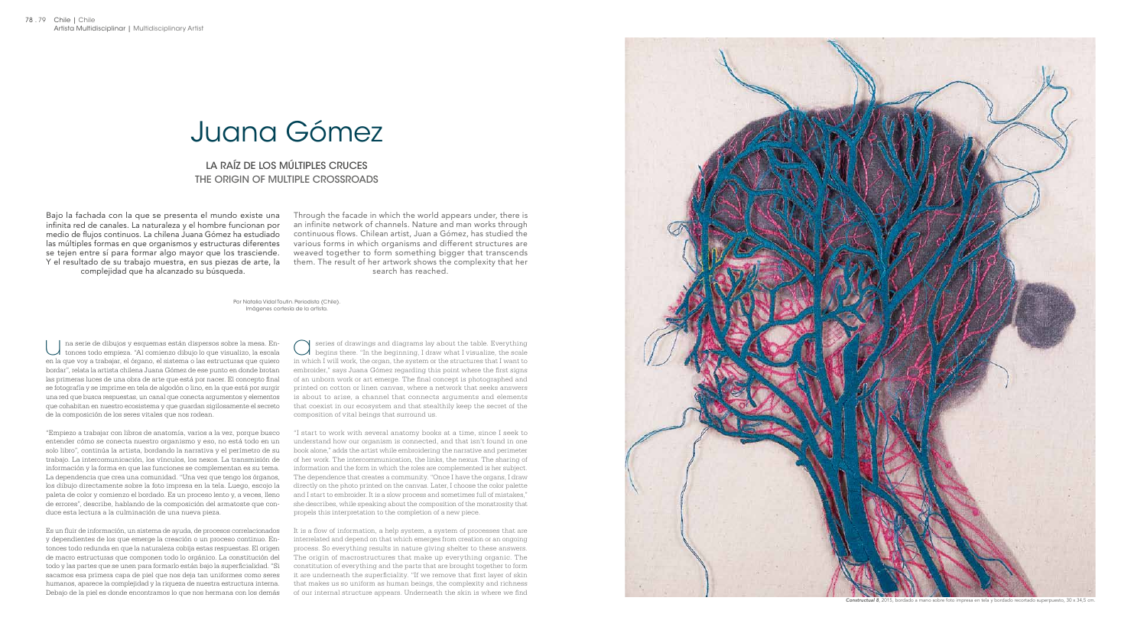Through the facade in which the world appears under, there is an infinite network of channels. Nature and man works through continuous flows. Chilean artist, Juan a Gómez, has studied the various forms in which organisms and different structures are weaved together to form something bigger that transcends them. The result of her artwork shows the complexity that her search has reached.

Bajo la fachada con la que se presenta el mundo existe una infinita red de canales. La naturaleza y el hombre funcionan por medio de flujos continuos. La chilena Juana Gómez ha estudiado las múltiples formas en que organismos y estructuras diferentes se tejen entre sí para formar algo mayor que los trasciende. Y el resultado de su trabajo muestra, en sus piezas de arte, la complejidad que ha alcanzado su búsqueda.

> Por Natalia Vidal Toutin. Periodista (Chile). Imágenes cortesía de la artista.

# Juana Gómez

na serie de dibujos y esquemas están dispersos sobre la mesa. Entonces todo empieza. "Al comienzo dibujo lo que visualizo, la escala u a en la que voy a trabajar, el órgano, el sistema o las estructuras que quiero bordar", relata la artista chilena Juana Gómez de ese punto en donde brotan las primeras luces de una obra de arte que está por nacer. El concepto final se fotografía y se imprime en tela de algodón o lino, en la que está por surgir una red que busca respuestas, un canal que conecta argumentos y elementos que cohabitan en nuestro ecosistema y que guardan sigilosamente el secreto de la composición de los seres vitales que nos rodean.

"Empiezo a trabajar con libros de anatomía, varios a la vez, porque busco entender cómo se conecta nuestro organismo y eso, no está todo en un solo libro", continúa la artista, bordando la narrativa y el perímetro de su trabajo. La intercomunicación, los vínculos, los nexos. La transmisión de información y la forma en que las funciones se complementan es su tema. La dependencia que crea una comunidad. "Una vez que tengo los órganos, los dibujo directamente sobre la foto impresa en la tela. Luego, escojo la paleta de color y comienzo el bordado. Es un proceso lento y, a veces, lleno de errores", describe, hablando de la composición del armatoste que conduce esta lectura a la culminación de una nueva pieza.

Es un fluir de información, un sistema de ayuda, de procesos correlacionados y dependientes de los que emerge la creación o un proceso continuo. Entonces todo redunda en que la naturaleza cobija estas respuestas. El origen de macro estructuras que componen todo lo orgánico. La constitución del todo y las partes que se unen para formarlo están bajo la superficialidad. "Si sacamos esa primera capa de piel que nos deja tan uniformes como seres humanos, aparece la complejidad y la riqueza de nuestra estructura interna. Debajo de la piel es donde encontramos lo que nos hermana con los demás

series of drawings and diagrams lay about the table. Everything begins there. "In the beginning, I draw what I visualize, the scale in which I will work, the organ, the system or the structures that I want to embroider," says Juana Gómez regarding this point where the first signs of an unborn work or art emerge. The final concept is photographed and printed on cotton or linen canvas, where a network that seeks answers is about to arise, a channel that connects arguments and elements that coexist in our ecosystem and that stealthily keep the secret of the composition of vital beings that surround us.

"I start to work with several anatomy books at a time, since I seek to understand how our organism is connected, and that isn't found in one book alone," adds the artist while embroidering the narrative and perimeter of her work. The intercommunication, the links, the nexus. The sharing of information and the form in which the roles are complemented is her subject. The dependence that creates a community. "Once I have the organs, I draw directly on the photo printed on the canvas. Later, I choose the color palette and I start to embroider. It is a slow process and sometimes full of mistakes," she describes, while speaking about the composition of the monstrosity that propels this interpretation to the completion of a new piece.

It is a flow of information, a help system, a system of processes that are interrelated and depend on that which emerges from creation or an ongoing process. So everything results in nature giving shelter to these answers. The origin of macrostructures that make up everything organic. The constitution of everything and the parts that are brought together to form it are underneath the superficiality. "If we remove that first layer of skin that makes us so uniform as human beings, the complexity and richness of our internal structure appears. Underneath the skin is where we find

La raíz de los múltiples cruces The origin of multiple crossroads

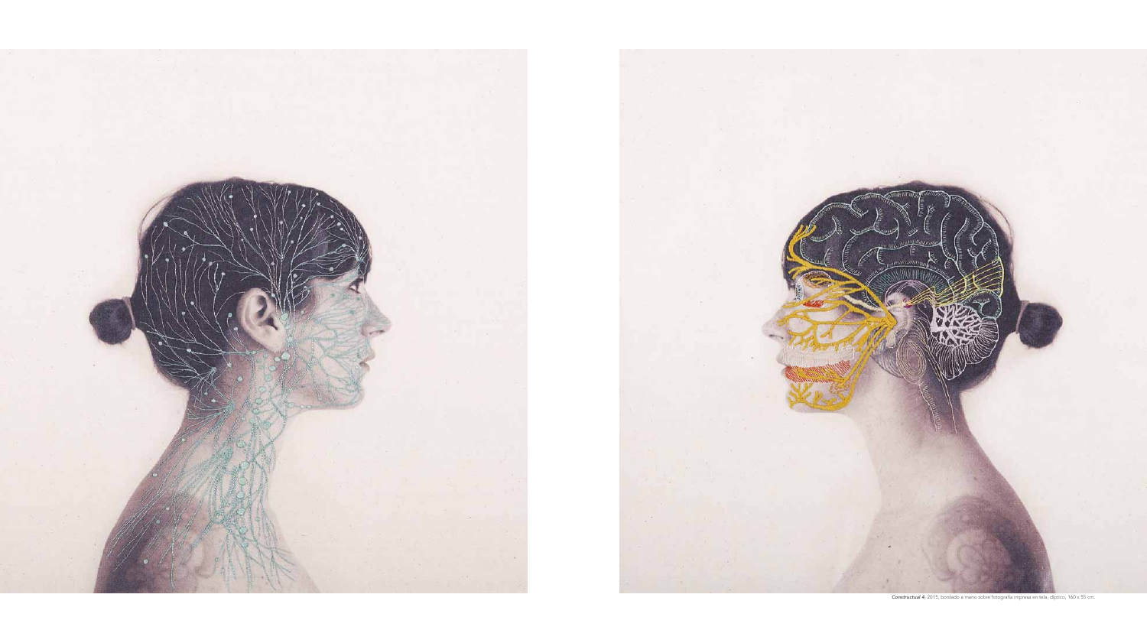



*Constructual 4*, 2015, bordado a mano sobre fotografía impresa en tela, díptico, 160 x 55 cm.